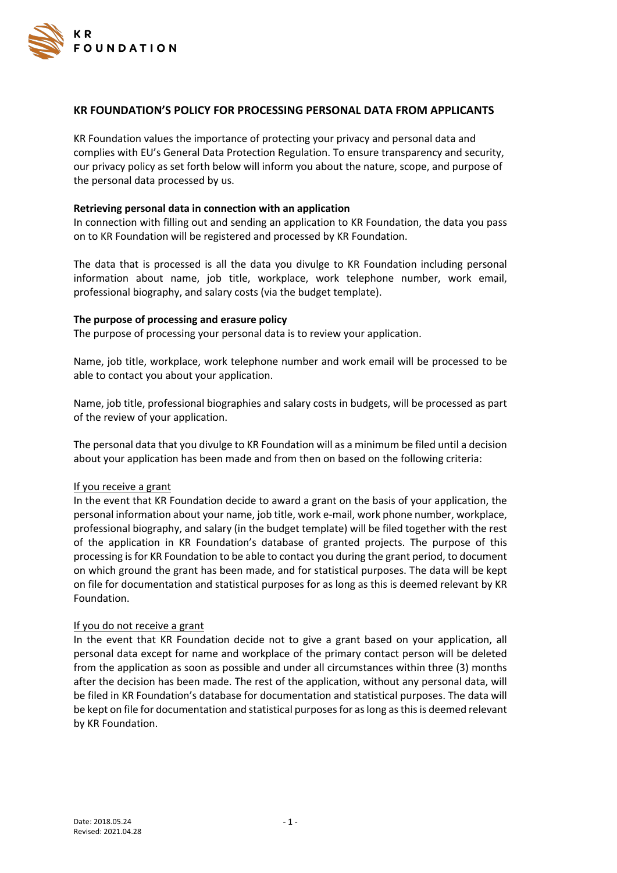

# **KR FOUNDATION'S POLICY FOR PROCESSING PERSONAL DATA FROM APPLICANTS**

KR Foundation values the importance of protecting your privacy and personal data and complies with EU's General Data Protection Regulation. To ensure transparency and security, our privacy policy as set forth below will inform you about the nature, scope, and purpose of the personal data processed by us.

## **Retrieving personal data in connection with an application**

In connection with filling out and sending an application to KR Foundation, the data you pass on to KR Foundation will be registered and processed by KR Foundation.

The data that is processed is all the data you divulge to KR Foundation including personal information about name, job title, workplace, work telephone number, work email, professional biography, and salary costs (via the budget template).

## **The purpose of processing and erasure policy**

The purpose of processing your personal data is to review your application.

Name, job title, workplace, work telephone number and work email will be processed to be able to contact you about your application.

Name, job title, professional biographies and salary costs in budgets, will be processed as part of the review of your application.

The personal data that you divulge to KR Foundation will as a minimum be filed until a decision about your application has been made and from then on based on the following criteria:

# If you receive a grant

In the event that KR Foundation decide to award a grant on the basis of your application, the personal information about your name, job title, work e-mail, work phone number, workplace, professional biography, and salary (in the budget template) will be filed together with the rest of the application in KR Foundation's database of granted projects. The purpose of this processing is for KR Foundation to be able to contact you during the grant period, to document on which ground the grant has been made, and for statistical purposes. The data will be kept on file for documentation and statistical purposes for as long as this is deemed relevant by KR Foundation.

### If you do not receive a grant

In the event that KR Foundation decide not to give a grant based on your application, all personal data except for name and workplace of the primary contact person will be deleted from the application as soon as possible and under all circumstances within three (3) months after the decision has been made. The rest of the application, without any personal data, will be filed in KR Foundation's database for documentation and statistical purposes. The data will be kept on file for documentation and statistical purposes for as long as this is deemed relevant by KR Foundation.